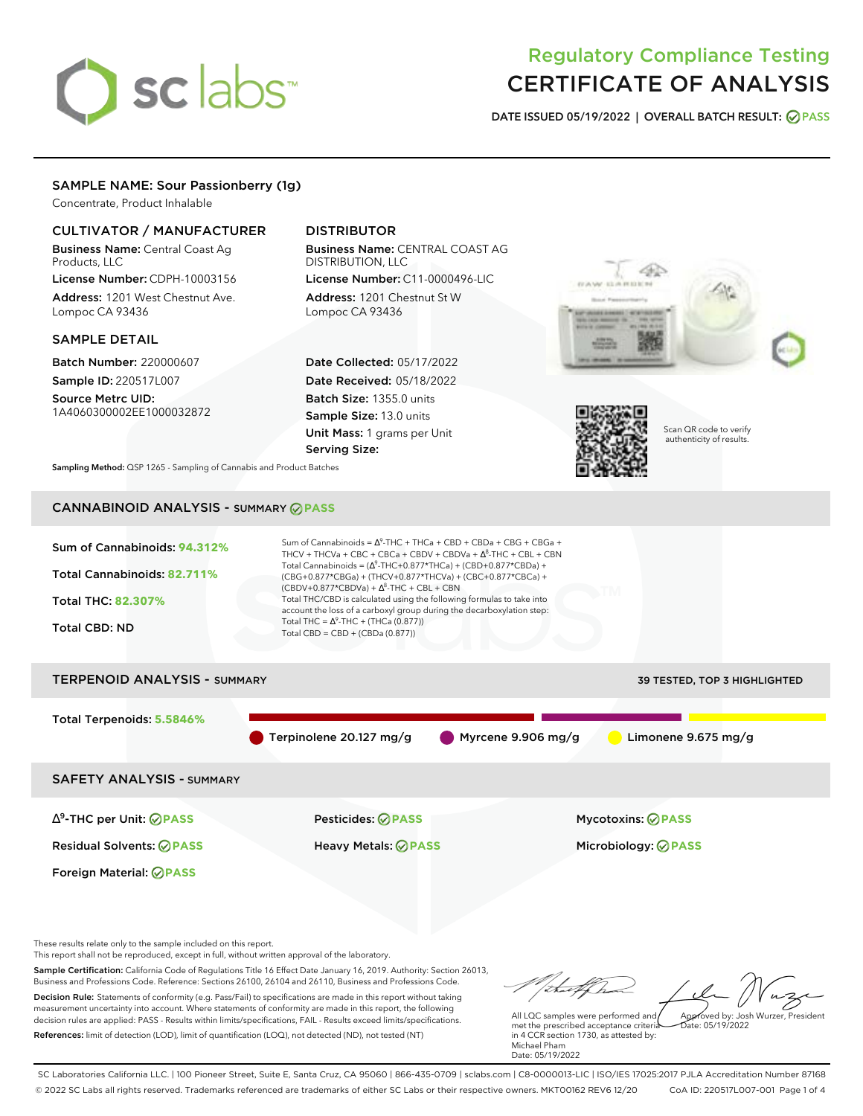# sclabs<sup>\*</sup>

# Regulatory Compliance Testing CERTIFICATE OF ANALYSIS

**DATE ISSUED 05/19/2022 | OVERALL BATCH RESULT: PASS**

# SAMPLE NAME: Sour Passionberry (1g)

Concentrate, Product Inhalable

# CULTIVATOR / MANUFACTURER

Business Name: Central Coast Ag Products, LLC

License Number: CDPH-10003156 Address: 1201 West Chestnut Ave. Lompoc CA 93436

# SAMPLE DETAIL

Batch Number: 220000607 Sample ID: 220517L007

Source Metrc UID: 1A4060300002EE1000032872

# DISTRIBUTOR

Business Name: CENTRAL COAST AG DISTRIBUTION, LLC License Number: C11-0000496-LIC

Address: 1201 Chestnut St W Lompoc CA 93436

Date Collected: 05/17/2022 Date Received: 05/18/2022 Batch Size: 1355.0 units Sample Size: 13.0 units Unit Mass: 1 grams per Unit Serving Size:





Scan QR code to verify authenticity of results.

**Sampling Method:** QSP 1265 - Sampling of Cannabis and Product Batches

# CANNABINOID ANALYSIS - SUMMARY **PASS**



∆ 9 -THC per Unit: **PASS** Pesticides: **PASS** Mycotoxins: **PASS**

Foreign Material: **PASS**

Residual Solvents: **PASS** Heavy Metals: **PASS** Microbiology: **PASS**

These results relate only to the sample included on this report.

This report shall not be reproduced, except in full, without written approval of the laboratory.

Sample Certification: California Code of Regulations Title 16 Effect Date January 16, 2019. Authority: Section 26013, Business and Professions Code. Reference: Sections 26100, 26104 and 26110, Business and Professions Code. Decision Rule: Statements of conformity (e.g. Pass/Fail) to specifications are made in this report without taking measurement uncertainty into account. Where statements of conformity are made in this report, the following decision rules are applied: PASS - Results within limits/specifications, FAIL - Results exceed limits/specifications.

References: limit of detection (LOD), limit of quantification (LOQ), not detected (ND), not tested (NT)

Approved by: Josh Wurzer, President

 $hat: 05/19/2022$ 

All LQC samples were performed and met the prescribed acceptance criteria in 4 CCR section 1730, as attested by: Michael Pham Date: 05/19/2022

SC Laboratories California LLC. | 100 Pioneer Street, Suite E, Santa Cruz, CA 95060 | 866-435-0709 | sclabs.com | C8-0000013-LIC | ISO/IES 17025:2017 PJLA Accreditation Number 87168 © 2022 SC Labs all rights reserved. Trademarks referenced are trademarks of either SC Labs or their respective owners. MKT00162 REV6 12/20 CoA ID: 220517L007-001 Page 1 of 4